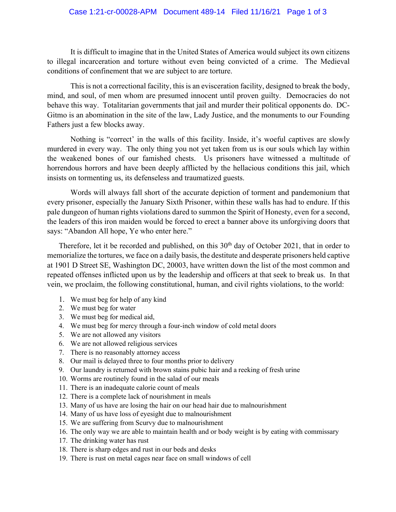## Case 1:21-cr-00028-APM Document 489-14 Filed 11/16/21 Page 1 of 3

It is difficult to imagine that in the United States of America would subject its own citizens to illegal incarceration and torture without even being convicted of a crime. The Medieval conditions of confinement that we are subject to are torture.

This is not a correctional facility, this is an evisceration facility, designed to break the body, mind, and soul, of men whom are presumed innocent until proven guilty. Democracies do not behave this way. Totalitarian governments that jail and murder their political opponents do. DC-Gitmo is an abomination in the site of the law, Lady Justice, and the monuments to our Founding Fathers just a few blocks away.

Nothing is "correct' in the walls of this facility. Inside, it's woeful captives are slowly murdered in every way. The only thing you not yet taken from us is our souls which lay within the weakened bones of our famished chests. Us prisoners have witnessed a multitude of horrendous horrors and have been deeply afflicted by the hellacious conditions this jail, which insists on tormenting us, its defenseless and traumatized guests.

Words will always fall short of the accurate depiction of torment and pandemonium that every prisoner, especially the January Sixth Prisoner, within these walls has had to endure. If this pale dungeon of human rights violations dared to summon the Spirit of Honesty, even for a second, the leaders of this iron maiden would be forced to erect a banner above its unforgiving doors that says: "Abandon All hope, Ye who enter here."

Therefore, let it be recorded and published, on this 30<sup>th</sup> day of October 2021, that in order to memorialize the tortures, we face on a daily basis, the destitute and desperate prisoners held captive at 1901 D Street SE, Washington DC, 20003, have written down the list of the most common and repeated offenses inflicted upon us by the leadership and officers at that seek to break us. In that vein, we proclaim, the following constitutional, human, and civil rights violations, to the world:

- 1. We must beg for help of any kind
- 2. We must beg for water
- 3. We must beg for medical aid,
- 4. We must beg for mercy through a four-inch window of cold metal doors
- 5. We are not allowed any visitors
- 6. We are not allowed religious services
- 7. There is no reasonably attorney access
- 8. Our mail is delayed three to four months prior to delivery
- 9. Our laundry is returned with brown stains pubic hair and a reeking of fresh urine
- 10. Worms are routinely found in the salad of our meals
- 11. There is an inadequate calorie count of meals
- 12. There is a complete lack of nourishment in meals
- 13. Many of us have are losing the hair on our head hair due to malnourishment
- 14. Many of us have loss of eyesight due to malnourishment
- 15. We are suffering from Scurvy due to malnourishment
- 16. The only way we are able to maintain health and or body weight is by eating with commissary
- 17. The drinking water has rust
- 18. There is sharp edges and rust in our beds and desks
- 19. There is rust on metal cages near face on small windows of cell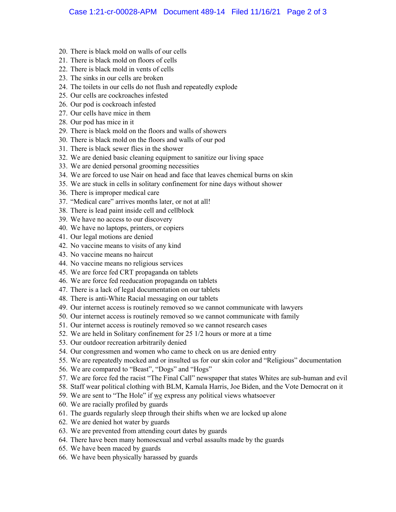- 20. There is black mold on walls of our cells
- 21. There is black mold on floors of cells
- 22. There is black mold in vents of cells
- 23. The sinks in our cells are broken
- 24. The toilets in our cells do not flush and repeatedly explode
- 25. Our cells are cockroaches infested
- 26. Our pod is cockroach infested
- 27. Our cells have mice in them
- 28. Our pod has mice in it
- 29. There is black mold on the floors and walls of showers
- 30. There is black mold on the floors and walls of our pod
- 31. There is black sewer flies in the shower
- 32. We are denied basic cleaning equipment to sanitize our living space
- 33. We are denied personal grooming necessities
- 34. We are forced to use Nair on head and face that leaves chemical burns on skin
- 35. We are stuck in cells in solitary confinement for nine days without shower
- 36. There is improper medical care
- 37. "Medical care" arrives months later, or not at all!
- 38. There is lead paint inside cell and cellblock
- 39. We have no access to our discovery
- 40. We have no laptops, printers, or copiers
- 41. Our legal motions are denied
- 42. No vaccine means to visits of any kind
- 43. No vaccine means no haircut
- 44. No vaccine means no religious services
- 45. We are force fed CRT propaganda on tablets
- 46. We are force fed reeducation propaganda on tablets
- 47. There is a lack of legal documentation on our tablets
- 48. There is anti-White Racial messaging on our tablets
- 49. Our internet access is routinely removed so we cannot communicate with lawyers
- 50. Our internet access is routinely removed so we cannot communicate with family
- 51. Our internet access is routinely removed so we cannot research cases
- 52. We are held in Solitary confinement for 25 1/2 hours or more at a time
- 53. Our outdoor recreation arbitrarily denied
- 54. Our congressmen and women who came to check on us are denied entry
- 55. We are repeatedly mocked and or insulted us for our skin color and "Religious" documentation
- 56. We are compared to "Beast", "Dogs" and "Hogs"
- 57. We are force fed the racist "The Final Call" newspaper that states Whites are sub-human and evil
- 58. Staff wear political clothing with BLM, Kamala Harris, Joe Biden, and the Vote Democrat on it
- 59. We are sent to "The Hole" if we express any political views whatsoever
- 60. We are racially profiled by guards
- 61. The guards regularly sleep through their shifts when we are locked up alone
- 62. We are denied hot water by guards
- 63. We are prevented from attending court dates by guards
- 64. There have been many homosexual and verbal assaults made by the guards
- 65. We have been maced by guards
- 66. We have been physically harassed by guards